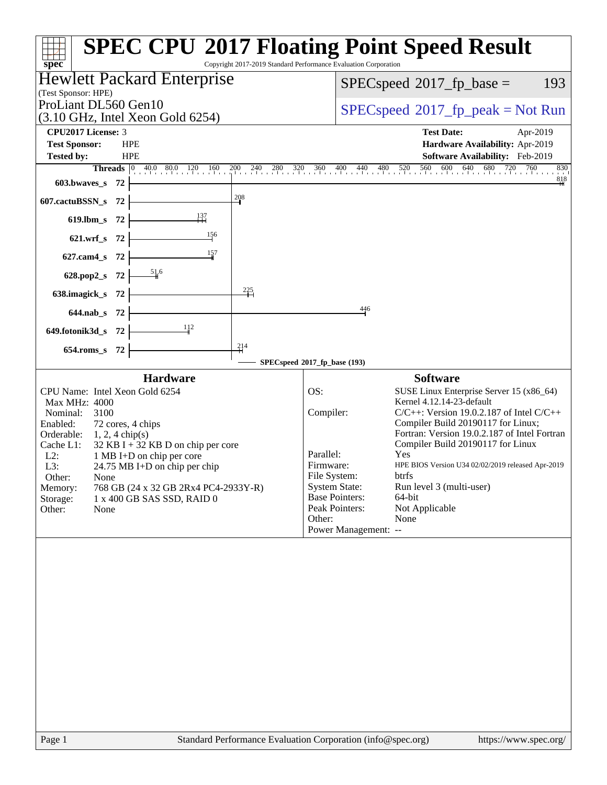| (Test Sponsor: HPE)                                                                                                                                                                                                              | Hewlett Packard Enterprise                                                                                                                                                                            |                                                                                                                                                                 | 193<br>$SPEC speed^{\circ}2017\_fp\_base =$                                                                                                                                                                                                                                                                                                                                                               |
|----------------------------------------------------------------------------------------------------------------------------------------------------------------------------------------------------------------------------------|-------------------------------------------------------------------------------------------------------------------------------------------------------------------------------------------------------|-----------------------------------------------------------------------------------------------------------------------------------------------------------------|-----------------------------------------------------------------------------------------------------------------------------------------------------------------------------------------------------------------------------------------------------------------------------------------------------------------------------------------------------------------------------------------------------------|
| ProLiant DL560 Gen10                                                                                                                                                                                                             |                                                                                                                                                                                                       |                                                                                                                                                                 | $SPEC speed^{\circ}2017\_fp\_peak = Not Run$                                                                                                                                                                                                                                                                                                                                                              |
| CPU2017 License: 3                                                                                                                                                                                                               | $(3.10 \text{ GHz}, \text{Intel Xeon Gold } 6254)$                                                                                                                                                    |                                                                                                                                                                 | <b>Test Date:</b><br>Apr-2019                                                                                                                                                                                                                                                                                                                                                                             |
| <b>Test Sponsor:</b><br><b>Tested by:</b>                                                                                                                                                                                        | <b>HPE</b><br><b>HPE</b>                                                                                                                                                                              |                                                                                                                                                                 | Hardware Availability: Apr-2019<br>Software Availability: Feb-2019                                                                                                                                                                                                                                                                                                                                        |
|                                                                                                                                                                                                                                  |                                                                                                                                                                                                       |                                                                                                                                                                 | <b>Threads</b> 0 40.0 80.0 120 160 200 240 280 320 360 400 440 480 520 560 600 640 680 720 760 830<br>830                                                                                                                                                                                                                                                                                                 |
| 603.bwaves_s<br>72                                                                                                                                                                                                               |                                                                                                                                                                                                       |                                                                                                                                                                 | $\frac{818}{4}$                                                                                                                                                                                                                                                                                                                                                                                           |
| 607.cactuBSSN_s<br>-72                                                                                                                                                                                                           | 208                                                                                                                                                                                                   |                                                                                                                                                                 |                                                                                                                                                                                                                                                                                                                                                                                                           |
| 619.lbm_s 72                                                                                                                                                                                                                     | 137                                                                                                                                                                                                   |                                                                                                                                                                 |                                                                                                                                                                                                                                                                                                                                                                                                           |
| 621.wrf_s 72                                                                                                                                                                                                                     | $\frac{156}{1}$                                                                                                                                                                                       |                                                                                                                                                                 |                                                                                                                                                                                                                                                                                                                                                                                                           |
| 627.cam4_s<br>-72                                                                                                                                                                                                                | 157                                                                                                                                                                                                   |                                                                                                                                                                 |                                                                                                                                                                                                                                                                                                                                                                                                           |
| 628.pop2_s 72                                                                                                                                                                                                                    | $\frac{51}{4}$ 6                                                                                                                                                                                      |                                                                                                                                                                 |                                                                                                                                                                                                                                                                                                                                                                                                           |
| 638.imagick_s 72                                                                                                                                                                                                                 | $\frac{225}{1}$                                                                                                                                                                                       |                                                                                                                                                                 |                                                                                                                                                                                                                                                                                                                                                                                                           |
| 644.nab_s 72                                                                                                                                                                                                                     |                                                                                                                                                                                                       |                                                                                                                                                                 | 446                                                                                                                                                                                                                                                                                                                                                                                                       |
| 649.fotonik3d_s 72                                                                                                                                                                                                               | $\frac{11}{2}$                                                                                                                                                                                        |                                                                                                                                                                 |                                                                                                                                                                                                                                                                                                                                                                                                           |
| 654.roms_s 72                                                                                                                                                                                                                    | $\frac{214}{5}$                                                                                                                                                                                       |                                                                                                                                                                 |                                                                                                                                                                                                                                                                                                                                                                                                           |
|                                                                                                                                                                                                                                  |                                                                                                                                                                                                       | SPECspeed®2017_fp_base (193)                                                                                                                                    |                                                                                                                                                                                                                                                                                                                                                                                                           |
| CPU Name: Intel Xeon Gold 6254<br>Max MHz: 4000<br>3100<br>Nominal:<br>Enabled:<br>72 cores, 4 chips<br>Orderable:<br>$1, 2, 4$ chip(s)<br>Cache L1:<br>$L2$ :<br>L3:<br>Other:<br>None<br>Memory:<br>Storage:<br>Other:<br>None | <b>Hardware</b><br>$32$ KB I + 32 KB D on chip per core<br>1 MB I+D on chip per core<br>$24.75 \text{ MB I+D}$ on chip per chip<br>768 GB (24 x 32 GB 2Rx4 PC4-2933Y-R)<br>1 x 400 GB SAS SSD, RAID 0 | OS:<br>Compiler:<br>Parallel:<br>Firmware:<br>File System:<br><b>System State:</b><br><b>Base Pointers:</b><br>Peak Pointers:<br>Other:<br>Power Management: -- | <b>Software</b><br>SUSE Linux Enterprise Server 15 (x86_64)<br>Kernel 4.12.14-23-default<br>$C/C++$ : Version 19.0.2.187 of Intel $C/C++$<br>Compiler Build 20190117 for Linux;<br>Fortran: Version 19.0.2.187 of Intel Fortran<br>Compiler Build 20190117 for Linux<br>Yes<br>HPE BIOS Version U34 02/02/2019 released Apr-2019<br>btrfs<br>Run level 3 (multi-user)<br>64-bit<br>Not Applicable<br>None |
|                                                                                                                                                                                                                                  |                                                                                                                                                                                                       |                                                                                                                                                                 |                                                                                                                                                                                                                                                                                                                                                                                                           |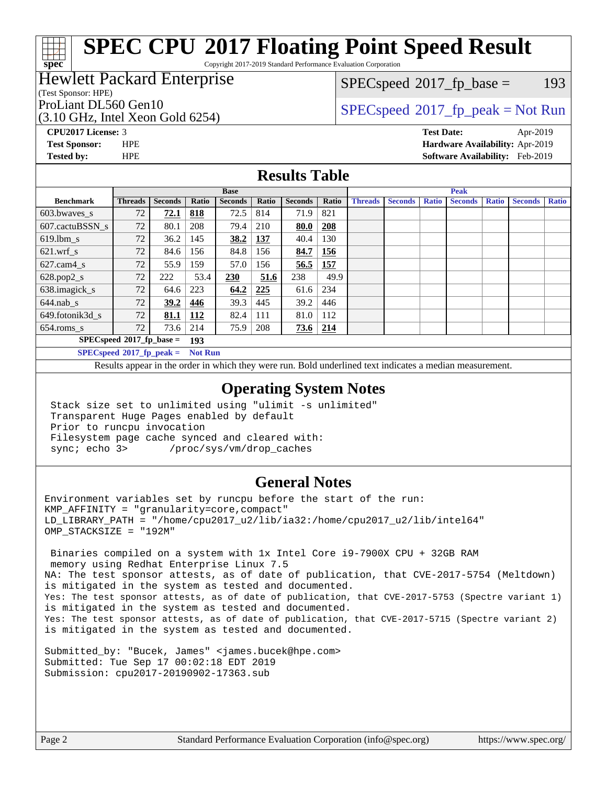Copyright 2017-2019 Standard Performance Evaluation Corporation

### Hewlett Packard Enterprise

(Test Sponsor: HPE)

**[spec](http://www.spec.org/)**

(3.10 GHz, Intel Xeon Gold 6254)

 $SPECspeed^{\circledcirc}2017_fp\_base = 193$  $SPECspeed^{\circledcirc}2017_fp\_base = 193$ 

## ProLiant DL560 Gen10<br>  $SPEC speed^{\circ}2017$  [p\_peak = Not Run

**[CPU2017 License:](http://www.spec.org/auto/cpu2017/Docs/result-fields.html#CPU2017License)** 3 **[Test Date:](http://www.spec.org/auto/cpu2017/Docs/result-fields.html#TestDate)** Apr-2019 **[Test Sponsor:](http://www.spec.org/auto/cpu2017/Docs/result-fields.html#TestSponsor)** HPE **[Hardware Availability:](http://www.spec.org/auto/cpu2017/Docs/result-fields.html#HardwareAvailability)** Apr-2019 **[Tested by:](http://www.spec.org/auto/cpu2017/Docs/result-fields.html#Testedby)** HPE **[Software Availability:](http://www.spec.org/auto/cpu2017/Docs/result-fields.html#SoftwareAvailability)** Feb-2019

#### **[Results Table](http://www.spec.org/auto/cpu2017/Docs/result-fields.html#ResultsTable)**

|                          | <b>Base</b>                                            |                |            |                | <b>Peak</b> |                |       |                |                |              |                |              |                |              |
|--------------------------|--------------------------------------------------------|----------------|------------|----------------|-------------|----------------|-------|----------------|----------------|--------------|----------------|--------------|----------------|--------------|
| <b>Benchmark</b>         | <b>Threads</b>                                         | <b>Seconds</b> | Ratio      | <b>Seconds</b> | Ratio       | <b>Seconds</b> | Ratio | <b>Threads</b> | <b>Seconds</b> | <b>Ratio</b> | <b>Seconds</b> | <b>Ratio</b> | <b>Seconds</b> | <b>Ratio</b> |
| $603.bwaves$ s           | 72                                                     | 72.1           | 818        | 72.5           | 814         | 71.9           | 821   |                |                |              |                |              |                |              |
| 607.cactuBSSN s          | 72                                                     | 80.1           | 208        | 79.4           | 210         | 80.0           | 208   |                |                |              |                |              |                |              |
| $619.$ lbm_s             | 72                                                     | 36.2           | 145        | 38.2           | 137         | 40.4           | 130   |                |                |              |                |              |                |              |
| $621$ .wrf s             | 72                                                     | 84.6           | 156        | 84.8           | 156         | 84.7           | 156   |                |                |              |                |              |                |              |
| $627$ .cam $4 \text{ s}$ | 72                                                     | 55.9           | 159        | 57.0           | 156         | 56.5           | 157   |                |                |              |                |              |                |              |
| $628.pop2_s$             | 72                                                     | 222            | 53.4       | 230            | 51.6        | 238            | 49.9  |                |                |              |                |              |                |              |
| 638.imagick_s            | 72                                                     | 64.6           | 223        | 64.2           | 225         | 61.6           | 234   |                |                |              |                |              |                |              |
| $644$ .nab s             | 72                                                     | 39.2           | 446        | 39.3           | 445         | 39.2           | 446   |                |                |              |                |              |                |              |
| 649.fotonik3d s          | 72                                                     | 81.1           | <u>112</u> | 82.4           | 111         | 81.0           | 112   |                |                |              |                |              |                |              |
| $654$ .roms s            | 72                                                     | 73.6           | 214        | 75.9           | 208         | $73.6$   214   |       |                |                |              |                |              |                |              |
|                          | $SPECspeed*2017_fp\_base =$                            |                | 193        |                |             |                |       |                |                |              |                |              |                |              |
|                          | $CDFC_{\text{cmod}} \approx 0.017$ for mode = Mot D.m. |                |            |                |             |                |       |                |                |              |                |              |                |              |

**[SPECspeed](http://www.spec.org/auto/cpu2017/Docs/result-fields.html#SPECspeed2017fppeak)[2017\\_fp\\_peak =](http://www.spec.org/auto/cpu2017/Docs/result-fields.html#SPECspeed2017fppeak) Not Run**

Results appear in the [order in which they were run.](http://www.spec.org/auto/cpu2017/Docs/result-fields.html#RunOrder) Bold underlined text [indicates a median measurement](http://www.spec.org/auto/cpu2017/Docs/result-fields.html#Median).

#### **[Operating System Notes](http://www.spec.org/auto/cpu2017/Docs/result-fields.html#OperatingSystemNotes)**

 Stack size set to unlimited using "ulimit -s unlimited" Transparent Huge Pages enabled by default Prior to runcpu invocation Filesystem page cache synced and cleared with: sync; echo 3> /proc/sys/vm/drop\_caches

### **[General Notes](http://www.spec.org/auto/cpu2017/Docs/result-fields.html#GeneralNotes)**

Environment variables set by runcpu before the start of the run: KMP\_AFFINITY = "granularity=core,compact" LD\_LIBRARY\_PATH = "/home/cpu2017\_u2/lib/ia32:/home/cpu2017\_u2/lib/intel64" OMP\_STACKSIZE = "192M"

 Binaries compiled on a system with 1x Intel Core i9-7900X CPU + 32GB RAM memory using Redhat Enterprise Linux 7.5 NA: The test sponsor attests, as of date of publication, that CVE-2017-5754 (Meltdown) is mitigated in the system as tested and documented. Yes: The test sponsor attests, as of date of publication, that CVE-2017-5753 (Spectre variant 1) is mitigated in the system as tested and documented. Yes: The test sponsor attests, as of date of publication, that CVE-2017-5715 (Spectre variant 2) is mitigated in the system as tested and documented.

Submitted\_by: "Bucek, James" <james.bucek@hpe.com> Submitted: Tue Sep 17 00:02:18 EDT 2019 Submission: cpu2017-20190902-17363.sub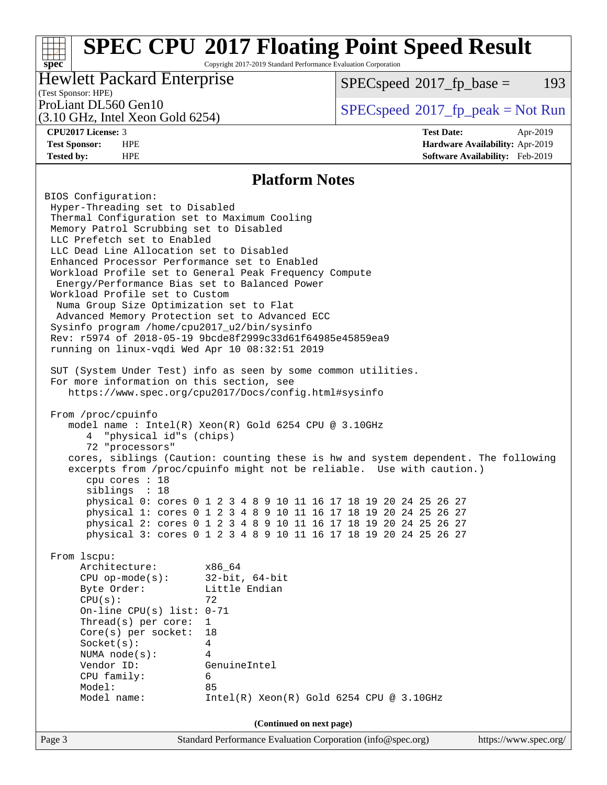Copyright 2017-2019 Standard Performance Evaluation Corporation

### Hewlett Packard Enterprise

 $SPECspeed^{\circ}2017\_fp\_base = 193$  $SPECspeed^{\circ}2017\_fp\_base = 193$ 

## (Test Sponsor: HPE)

(3.10 GHz, Intel Xeon Gold 6254)

ProLiant DL560 Gen10  $SPEC speed^{\circ}2017$ \_fp\_peak = Not Run

**[spec](http://www.spec.org/)**

**[CPU2017 License:](http://www.spec.org/auto/cpu2017/Docs/result-fields.html#CPU2017License)** 3 **[Test Date:](http://www.spec.org/auto/cpu2017/Docs/result-fields.html#TestDate)** Apr-2019 **[Test Sponsor:](http://www.spec.org/auto/cpu2017/Docs/result-fields.html#TestSponsor)** HPE **[Hardware Availability:](http://www.spec.org/auto/cpu2017/Docs/result-fields.html#HardwareAvailability)** Apr-2019 **[Tested by:](http://www.spec.org/auto/cpu2017/Docs/result-fields.html#Testedby)** HPE **[Software Availability:](http://www.spec.org/auto/cpu2017/Docs/result-fields.html#SoftwareAvailability)** Feb-2019

#### **[Platform Notes](http://www.spec.org/auto/cpu2017/Docs/result-fields.html#PlatformNotes)**

Page 3 Standard Performance Evaluation Corporation [\(info@spec.org\)](mailto:info@spec.org) <https://www.spec.org/> BIOS Configuration: Hyper-Threading set to Disabled Thermal Configuration set to Maximum Cooling Memory Patrol Scrubbing set to Disabled LLC Prefetch set to Enabled LLC Dead Line Allocation set to Disabled Enhanced Processor Performance set to Enabled Workload Profile set to General Peak Frequency Compute Energy/Performance Bias set to Balanced Power Workload Profile set to Custom Numa Group Size Optimization set to Flat Advanced Memory Protection set to Advanced ECC Sysinfo program /home/cpu2017\_u2/bin/sysinfo Rev: r5974 of 2018-05-19 9bcde8f2999c33d61f64985e45859ea9 running on linux-vqdi Wed Apr 10 08:32:51 2019 SUT (System Under Test) info as seen by some common utilities. For more information on this section, see <https://www.spec.org/cpu2017/Docs/config.html#sysinfo> From /proc/cpuinfo model name : Intel(R) Xeon(R) Gold 6254 CPU @ 3.10GHz 4 "physical id"s (chips) 72 "processors" cores, siblings (Caution: counting these is hw and system dependent. The following excerpts from /proc/cpuinfo might not be reliable. Use with caution.) cpu cores : 18 siblings : 18 physical 0: cores 0 1 2 3 4 8 9 10 11 16 17 18 19 20 24 25 26 27 physical 1: cores 0 1 2 3 4 8 9 10 11 16 17 18 19 20 24 25 26 27 physical 2: cores 0 1 2 3 4 8 9 10 11 16 17 18 19 20 24 25 26 27 physical 3: cores 0 1 2 3 4 8 9 10 11 16 17 18 19 20 24 25 26 27 From lscpu: Architecture: x86\_64 CPU op-mode(s): 32-bit, 64-bit Byte Order: Little Endian  $CPU(s):$  72 On-line CPU(s) list: 0-71 Thread(s) per core: 1 Core(s) per socket: 18 Socket(s): 4 NUMA node(s): 4 Vendor ID: GenuineIntel CPU family: 6 Model: 85 Model name: Intel(R) Xeon(R) Gold 6254 CPU @ 3.10GHz **(Continued on next page)**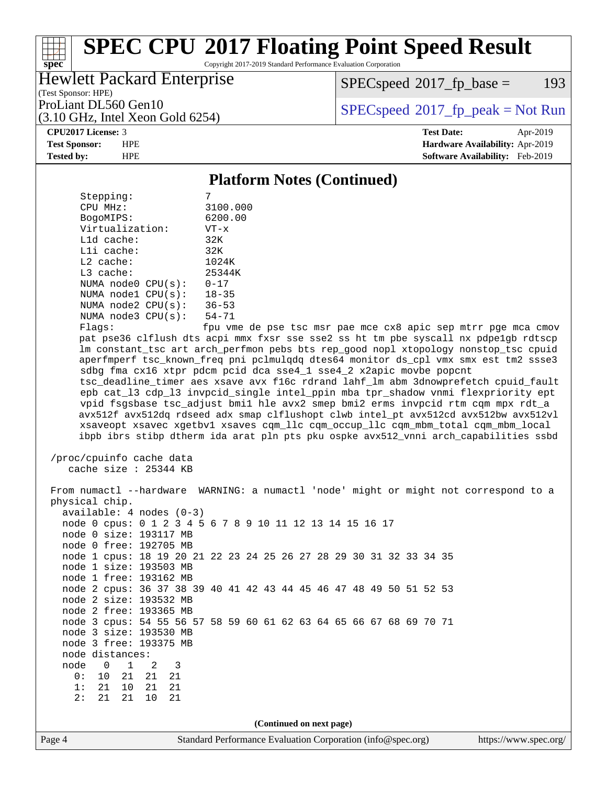Copyright 2017-2019 Standard Performance Evaluation Corporation

### Hewlett Packard Enterprise

 $SPECspeed^{\circ}2017\_fp\_base = 193$  $SPECspeed^{\circ}2017\_fp\_base = 193$ 

(Test Sponsor: HPE) (3.10 GHz, Intel Xeon Gold 6254)

ProLiant DL560 Gen10  $SPEC speed^{\circ}2017$ \_fp\_peak = Not Run

#### **[CPU2017 License:](http://www.spec.org/auto/cpu2017/Docs/result-fields.html#CPU2017License)** 3 **[Test Date:](http://www.spec.org/auto/cpu2017/Docs/result-fields.html#TestDate)** Apr-2019

**[spec](http://www.spec.org/)**

**[Test Sponsor:](http://www.spec.org/auto/cpu2017/Docs/result-fields.html#TestSponsor)** HPE **[Hardware Availability:](http://www.spec.org/auto/cpu2017/Docs/result-fields.html#HardwareAvailability)** Apr-2019 **[Tested by:](http://www.spec.org/auto/cpu2017/Docs/result-fields.html#Testedby)** HPE **[Software Availability:](http://www.spec.org/auto/cpu2017/Docs/result-fields.html#SoftwareAvailability)** Feb-2019

#### **[Platform Notes \(Continued\)](http://www.spec.org/auto/cpu2017/Docs/result-fields.html#PlatformNotes)**

| Stepping:       |                         |                            |  |
|-----------------|-------------------------|----------------------------|--|
| CPU MHz:        |                         | 3100.000                   |  |
| BogoMIPS:       |                         | 6200.00                    |  |
| Virtualization: |                         | $VT - x$                   |  |
| $L1d$ cache:    |                         | 32K                        |  |
| Lli cache:      |                         | 32K                        |  |
| $L2$ cache:     |                         | 1024K                      |  |
| $L3$ cache:     |                         | 25344K                     |  |
|                 | NUMA node0 CPU(s):      | $0 - 17$                   |  |
|                 | NUMA $node1$ $CPU(s)$ : | $18 - 35$                  |  |
|                 | NUMA $node2$ $CPU(s):$  | $36 - 53$                  |  |
|                 | NUMA $node3$ $CPU(s)$ : | $54 - 71$                  |  |
| $E1 \sim 0.01$  |                         | $f_{\text{min}}$ $\tau$ mo |  |

Flags: fpu vme de pse tsc msr pae mce cx8 apic sep mtrr pge mca cmov pat pse36 clflush dts acpi mmx fxsr sse sse2 ss ht tm pbe syscall nx pdpe1gb rdtscp lm constant\_tsc art arch\_perfmon pebs bts rep\_good nopl xtopology nonstop\_tsc cpuid aperfmperf tsc\_known\_freq pni pclmulqdq dtes64 monitor ds\_cpl vmx smx est tm2 ssse3 sdbg fma cx16 xtpr pdcm pcid dca sse4\_1 sse4\_2 x2apic movbe popcnt tsc\_deadline\_timer aes xsave avx f16c rdrand lahf\_lm abm 3dnowprefetch cpuid\_fault epb cat\_l3 cdp\_l3 invpcid\_single intel\_ppin mba tpr\_shadow vnmi flexpriority ept vpid fsgsbase tsc\_adjust bmi1 hle avx2 smep bmi2 erms invpcid rtm cqm mpx rdt\_a avx512f avx512dq rdseed adx smap clflushopt clwb intel\_pt avx512cd avx512bw avx512vl xsaveopt xsavec xgetbv1 xsaves cqm\_llc cqm\_occup\_llc cqm\_mbm\_total cqm\_mbm\_local ibpb ibrs stibp dtherm ida arat pln pts pku ospke avx512\_vnni arch\_capabilities ssbd

```
 /proc/cpuinfo cache data
   cache size : 25344 KB
```
Page 4 Standard Performance Evaluation Corporation [\(info@spec.org\)](mailto:info@spec.org) <https://www.spec.org/> From numactl --hardware WARNING: a numactl 'node' might or might not correspond to a physical chip. available: 4 nodes (0-3) node 0 cpus: 0 1 2 3 4 5 6 7 8 9 10 11 12 13 14 15 16 17 node 0 size: 193117 MB node 0 free: 192705 MB node 1 cpus: 18 19 20 21 22 23 24 25 26 27 28 29 30 31 32 33 34 35 node 1 size: 193503 MB node 1 free: 193162 MB node 2 cpus: 36 37 38 39 40 41 42 43 44 45 46 47 48 49 50 51 52 53 node 2 size: 193532 MB node 2 free: 193365 MB node 3 cpus: 54 55 56 57 58 59 60 61 62 63 64 65 66 67 68 69 70 71 node 3 size: 193530 MB node 3 free: 193375 MB node distances: node 0 1 2 3 0: 10 21 21 21 1: 21 10 21 21 2: 21 21 10 21 **(Continued on next page)**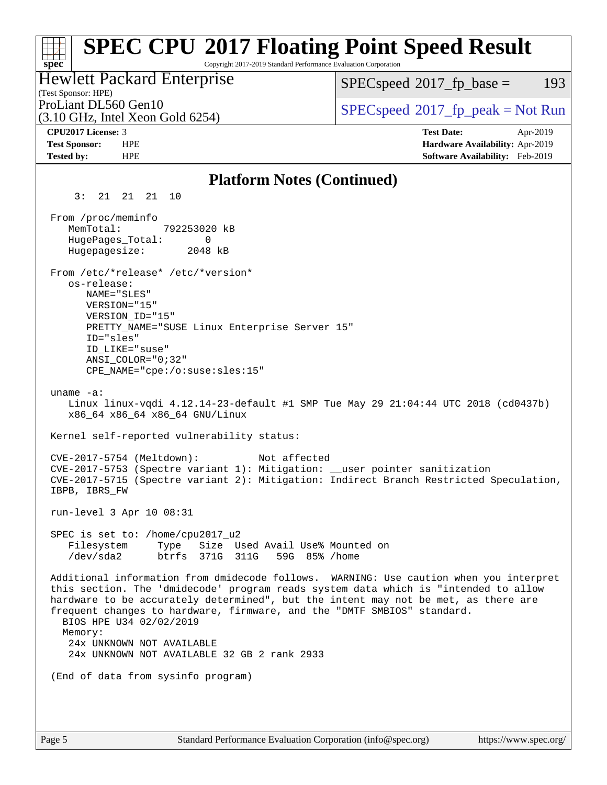#### **[spec](http://www.spec.org/) [SPEC CPU](http://www.spec.org/auto/cpu2017/Docs/result-fields.html#SPECCPU2017FloatingPointSpeedResult)[2017 Floating Point Speed Result](http://www.spec.org/auto/cpu2017/Docs/result-fields.html#SPECCPU2017FloatingPointSpeedResult)** Copyright 2017-2019 Standard Performance Evaluation Corporation (Test Sponsor: HPE) Hewlett Packard Enterprise (3.10 GHz, Intel Xeon Gold 6254) ProLiant DL560 Gen10  $SPEC speed^{\circ}2017$ \_fp\_peak = Not Run  $SPECspeed^{\circ}2017\_fp\_base = 193$  $SPECspeed^{\circ}2017\_fp\_base = 193$ **[CPU2017 License:](http://www.spec.org/auto/cpu2017/Docs/result-fields.html#CPU2017License)** 3 **[Test Date:](http://www.spec.org/auto/cpu2017/Docs/result-fields.html#TestDate)** Apr-2019 **[Test Sponsor:](http://www.spec.org/auto/cpu2017/Docs/result-fields.html#TestSponsor)** HPE **[Hardware Availability:](http://www.spec.org/auto/cpu2017/Docs/result-fields.html#HardwareAvailability)** Apr-2019 **[Tested by:](http://www.spec.org/auto/cpu2017/Docs/result-fields.html#Testedby)** HPE **[Software Availability:](http://www.spec.org/auto/cpu2017/Docs/result-fields.html#SoftwareAvailability)** Feb-2019 **[Platform Notes \(Continued\)](http://www.spec.org/auto/cpu2017/Docs/result-fields.html#PlatformNotes)** 3: 21 21 21 10 From /proc/meminfo MemTotal: 792253020 kB HugePages\_Total: 0 Hugepagesize: 2048 kB From /etc/\*release\* /etc/\*version\* os-release: NAME="SLES" VERSION="15" VERSION\_ID="15" PRETTY NAME="SUSE Linux Enterprise Server 15" ID="sles" ID\_LIKE="suse" ANSI\_COLOR="0;32" CPE\_NAME="cpe:/o:suse:sles:15" uname -a: Linux linux-vqdi 4.12.14-23-default #1 SMP Tue May 29 21:04:44 UTC 2018 (cd0437b) x86\_64 x86\_64 x86\_64 GNU/Linux Kernel self-reported vulnerability status: CVE-2017-5754 (Meltdown): Not affected CVE-2017-5753 (Spectre variant 1): Mitigation: \_\_user pointer sanitization CVE-2017-5715 (Spectre variant 2): Mitigation: Indirect Branch Restricted Speculation, IBPB, IBRS\_FW run-level 3 Apr 10 08:31 SPEC is set to: /home/cpu2017\_u2 Filesystem Type Size Used Avail Use% Mounted on /dev/sda2 btrfs 371G 311G 59G 85% /home Additional information from dmidecode follows. WARNING: Use caution when you interpret this section. The 'dmidecode' program reads system data which is "intended to allow hardware to be accurately determined", but the intent may not be met, as there are frequent changes to hardware, firmware, and the "DMTF SMBIOS" standard. BIOS HPE U34 02/02/2019 Memory: 24x UNKNOWN NOT AVAILABLE 24x UNKNOWN NOT AVAILABLE 32 GB 2 rank 2933 (End of data from sysinfo program)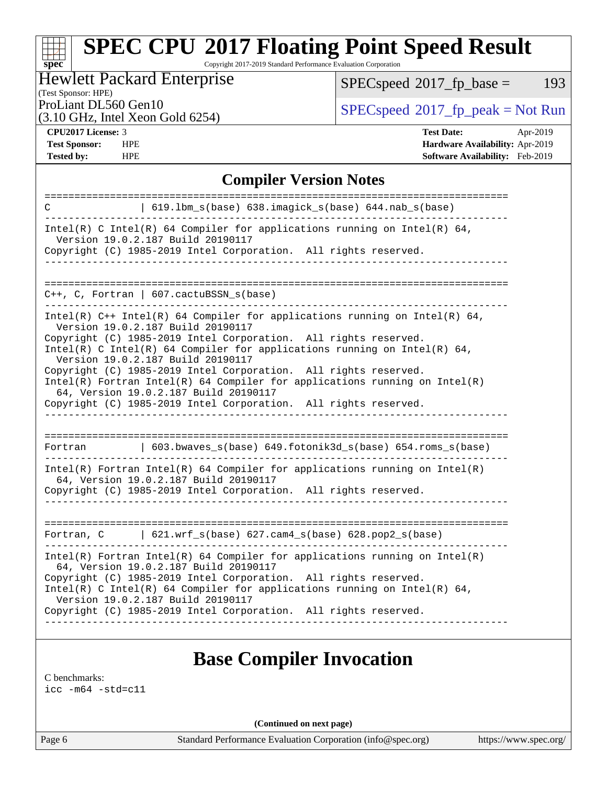Copyright 2017-2019 Standard Performance Evaluation Corporation

### Hewlett Packard Enterprise

 $SPECspeed^{\circ}2017_fp\_base = 193$  $SPECspeed^{\circ}2017_fp\_base = 193$ 

(Test Sponsor: HPE)

(3.10 GHz, Intel Xeon Gold 6254)

ProLiant DL560 Gen10<br>  $\begin{array}{c}\n\text{SPEC speed} \text{?}2017\_fp\_peak = Not Run \\
\text{SPEC speed} \text{?}2017\_fp\_peak = Not Run\n\end{array}$ 

**[spec](http://www.spec.org/)**

**[Tested by:](http://www.spec.org/auto/cpu2017/Docs/result-fields.html#Testedby)** HPE **[Software Availability:](http://www.spec.org/auto/cpu2017/Docs/result-fields.html#SoftwareAvailability)** Feb-2019

**[CPU2017 License:](http://www.spec.org/auto/cpu2017/Docs/result-fields.html#CPU2017License)** 3 **[Test Date:](http://www.spec.org/auto/cpu2017/Docs/result-fields.html#TestDate)** Apr-2019 **[Test Sponsor:](http://www.spec.org/auto/cpu2017/Docs/result-fields.html#TestSponsor)** HPE **[Hardware Availability:](http://www.spec.org/auto/cpu2017/Docs/result-fields.html#HardwareAvailability)** Apr-2019

### **[Compiler Version Notes](http://www.spec.org/auto/cpu2017/Docs/result-fields.html#CompilerVersionNotes)**

| 619.1bm_s(base) 638.imagick_s(base) 644.nab_s(base)<br>C                                                                                                                                 |
|------------------------------------------------------------------------------------------------------------------------------------------------------------------------------------------|
| Intel(R) C Intel(R) 64 Compiler for applications running on Intel(R) 64,<br>Version 19.0.2.187 Build 20190117                                                                            |
| Copyright (C) 1985-2019 Intel Corporation. All rights reserved.                                                                                                                          |
|                                                                                                                                                                                          |
| $C_{++}$ , C, Fortran   607.cactuBSSN_s(base)                                                                                                                                            |
| Intel(R) $C++$ Intel(R) 64 Compiler for applications running on Intel(R) 64,<br>Version 19.0.2.187 Build 20190117                                                                        |
| Copyright (C) 1985-2019 Intel Corporation. All rights reserved.<br>Intel(R) C Intel(R) 64 Compiler for applications running on Intel(R) 64,<br>Version 19.0.2.187 Build 20190117         |
| Copyright (C) 1985-2019 Intel Corporation. All rights reserved.<br>Intel(R) Fortran Intel(R) 64 Compiler for applications running on $Intel(R)$<br>64, Version 19.0.2.187 Build 20190117 |
| Copyright (C) 1985-2019 Intel Corporation. All rights reserved.                                                                                                                          |
|                                                                                                                                                                                          |
| $\vert$ 603.bwaves_s(base) 649.fotonik3d_s(base) 654.roms_s(base)<br>Fortran                                                                                                             |
| Intel(R) Fortran Intel(R) 64 Compiler for applications running on Intel(R)<br>64, Version 19.0.2.187 Build 20190117                                                                      |
| Copyright (C) 1985-2019 Intel Corporation. All rights reserved.                                                                                                                          |
|                                                                                                                                                                                          |
| $\vert$ 621.wrf_s(base) 627.cam4_s(base) 628.pop2_s(base)<br>Fortran, C                                                                                                                  |
| $Intel(R)$ Fortran Intel(R) 64 Compiler for applications running on Intel(R)<br>64, Version 19.0.2.187 Build 20190117                                                                    |
| Copyright (C) 1985-2019 Intel Corporation. All rights reserved.<br>Intel(R) C Intel(R) 64 Compiler for applications running on Intel(R) 64,<br>Version 19.0.2.187 Build 20190117         |
| Copyright (C) 1985-2019 Intel Corporation. All rights reserved.                                                                                                                          |
|                                                                                                                                                                                          |

## **[Base Compiler Invocation](http://www.spec.org/auto/cpu2017/Docs/result-fields.html#BaseCompilerInvocation)**

[C benchmarks](http://www.spec.org/auto/cpu2017/Docs/result-fields.html#Cbenchmarks):

[icc -m64 -std=c11](http://www.spec.org/cpu2017/results/res2019q3/cpu2017-20190902-17363.flags.html#user_CCbase_intel_icc_64bit_c11_33ee0cdaae7deeeab2a9725423ba97205ce30f63b9926c2519791662299b76a0318f32ddfffdc46587804de3178b4f9328c46fa7c2b0cd779d7a61945c91cd35)

**(Continued on next page)**

Page 6 Standard Performance Evaluation Corporation [\(info@spec.org\)](mailto:info@spec.org) <https://www.spec.org/>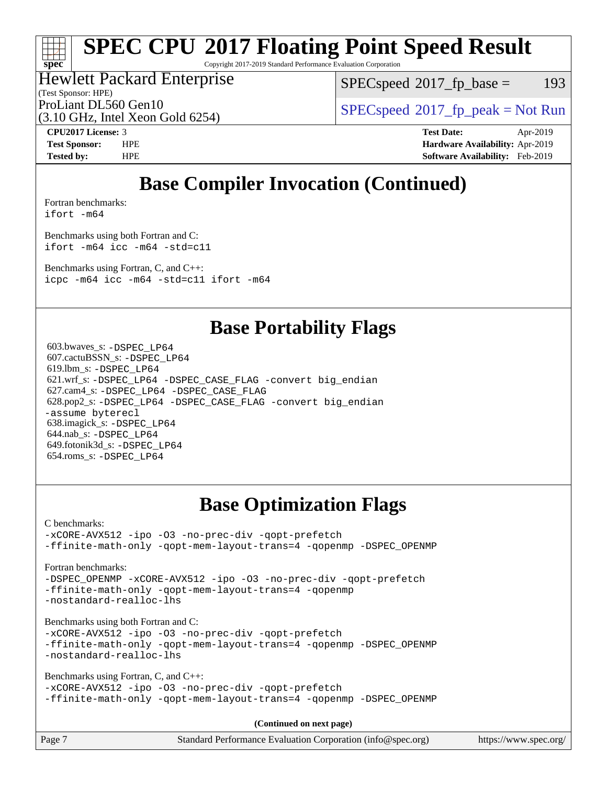Copyright 2017-2019 Standard Performance Evaluation Corporation

### Hewlett Packard Enterprise

(Test Sponsor: HPE)

 $SPEC speed^{\circ}2017\_fp\_base = 193$ 

(3.10 GHz, Intel Xeon Gold 6254)

ProLiant DL560 Gen10<br>  $SPEC speed^{\circ}2017$  [p\_peak = Not Run

**[spec](http://www.spec.org/)**

**[CPU2017 License:](http://www.spec.org/auto/cpu2017/Docs/result-fields.html#CPU2017License)** 3 **[Test Date:](http://www.spec.org/auto/cpu2017/Docs/result-fields.html#TestDate)** Apr-2019 **[Test Sponsor:](http://www.spec.org/auto/cpu2017/Docs/result-fields.html#TestSponsor)** HPE **[Hardware Availability:](http://www.spec.org/auto/cpu2017/Docs/result-fields.html#HardwareAvailability)** Apr-2019 **[Tested by:](http://www.spec.org/auto/cpu2017/Docs/result-fields.html#Testedby)** HPE **[Software Availability:](http://www.spec.org/auto/cpu2017/Docs/result-fields.html#SoftwareAvailability)** Feb-2019

# **[Base Compiler Invocation \(Continued\)](http://www.spec.org/auto/cpu2017/Docs/result-fields.html#BaseCompilerInvocation)**

[Fortran benchmarks](http://www.spec.org/auto/cpu2017/Docs/result-fields.html#Fortranbenchmarks): [ifort -m64](http://www.spec.org/cpu2017/results/res2019q3/cpu2017-20190902-17363.flags.html#user_FCbase_intel_ifort_64bit_24f2bb282fbaeffd6157abe4f878425411749daecae9a33200eee2bee2fe76f3b89351d69a8130dd5949958ce389cf37ff59a95e7a40d588e8d3a57e0c3fd751)

[Benchmarks using both Fortran and C](http://www.spec.org/auto/cpu2017/Docs/result-fields.html#BenchmarksusingbothFortranandC): [ifort -m64](http://www.spec.org/cpu2017/results/res2019q3/cpu2017-20190902-17363.flags.html#user_CC_FCbase_intel_ifort_64bit_24f2bb282fbaeffd6157abe4f878425411749daecae9a33200eee2bee2fe76f3b89351d69a8130dd5949958ce389cf37ff59a95e7a40d588e8d3a57e0c3fd751) [icc -m64 -std=c11](http://www.spec.org/cpu2017/results/res2019q3/cpu2017-20190902-17363.flags.html#user_CC_FCbase_intel_icc_64bit_c11_33ee0cdaae7deeeab2a9725423ba97205ce30f63b9926c2519791662299b76a0318f32ddfffdc46587804de3178b4f9328c46fa7c2b0cd779d7a61945c91cd35)

[Benchmarks using Fortran, C, and C++:](http://www.spec.org/auto/cpu2017/Docs/result-fields.html#BenchmarksusingFortranCandCXX)

[icpc -m64](http://www.spec.org/cpu2017/results/res2019q3/cpu2017-20190902-17363.flags.html#user_CC_CXX_FCbase_intel_icpc_64bit_4ecb2543ae3f1412ef961e0650ca070fec7b7afdcd6ed48761b84423119d1bf6bdf5cad15b44d48e7256388bc77273b966e5eb805aefd121eb22e9299b2ec9d9) [icc -m64 -std=c11](http://www.spec.org/cpu2017/results/res2019q3/cpu2017-20190902-17363.flags.html#user_CC_CXX_FCbase_intel_icc_64bit_c11_33ee0cdaae7deeeab2a9725423ba97205ce30f63b9926c2519791662299b76a0318f32ddfffdc46587804de3178b4f9328c46fa7c2b0cd779d7a61945c91cd35) [ifort -m64](http://www.spec.org/cpu2017/results/res2019q3/cpu2017-20190902-17363.flags.html#user_CC_CXX_FCbase_intel_ifort_64bit_24f2bb282fbaeffd6157abe4f878425411749daecae9a33200eee2bee2fe76f3b89351d69a8130dd5949958ce389cf37ff59a95e7a40d588e8d3a57e0c3fd751)

## **[Base Portability Flags](http://www.spec.org/auto/cpu2017/Docs/result-fields.html#BasePortabilityFlags)**

 603.bwaves\_s: [-DSPEC\\_LP64](http://www.spec.org/cpu2017/results/res2019q3/cpu2017-20190902-17363.flags.html#suite_basePORTABILITY603_bwaves_s_DSPEC_LP64) 607.cactuBSSN\_s: [-DSPEC\\_LP64](http://www.spec.org/cpu2017/results/res2019q3/cpu2017-20190902-17363.flags.html#suite_basePORTABILITY607_cactuBSSN_s_DSPEC_LP64) 619.lbm\_s: [-DSPEC\\_LP64](http://www.spec.org/cpu2017/results/res2019q3/cpu2017-20190902-17363.flags.html#suite_basePORTABILITY619_lbm_s_DSPEC_LP64) 621.wrf\_s: [-DSPEC\\_LP64](http://www.spec.org/cpu2017/results/res2019q3/cpu2017-20190902-17363.flags.html#suite_basePORTABILITY621_wrf_s_DSPEC_LP64) [-DSPEC\\_CASE\\_FLAG](http://www.spec.org/cpu2017/results/res2019q3/cpu2017-20190902-17363.flags.html#b621.wrf_s_baseCPORTABILITY_DSPEC_CASE_FLAG) [-convert big\\_endian](http://www.spec.org/cpu2017/results/res2019q3/cpu2017-20190902-17363.flags.html#user_baseFPORTABILITY621_wrf_s_convert_big_endian_c3194028bc08c63ac5d04de18c48ce6d347e4e562e8892b8bdbdc0214820426deb8554edfa529a3fb25a586e65a3d812c835984020483e7e73212c4d31a38223) 627.cam4\_s: [-DSPEC\\_LP64](http://www.spec.org/cpu2017/results/res2019q3/cpu2017-20190902-17363.flags.html#suite_basePORTABILITY627_cam4_s_DSPEC_LP64) [-DSPEC\\_CASE\\_FLAG](http://www.spec.org/cpu2017/results/res2019q3/cpu2017-20190902-17363.flags.html#b627.cam4_s_baseCPORTABILITY_DSPEC_CASE_FLAG) 628.pop2\_s: [-DSPEC\\_LP64](http://www.spec.org/cpu2017/results/res2019q3/cpu2017-20190902-17363.flags.html#suite_basePORTABILITY628_pop2_s_DSPEC_LP64) [-DSPEC\\_CASE\\_FLAG](http://www.spec.org/cpu2017/results/res2019q3/cpu2017-20190902-17363.flags.html#b628.pop2_s_baseCPORTABILITY_DSPEC_CASE_FLAG) [-convert big\\_endian](http://www.spec.org/cpu2017/results/res2019q3/cpu2017-20190902-17363.flags.html#user_baseFPORTABILITY628_pop2_s_convert_big_endian_c3194028bc08c63ac5d04de18c48ce6d347e4e562e8892b8bdbdc0214820426deb8554edfa529a3fb25a586e65a3d812c835984020483e7e73212c4d31a38223) [-assume byterecl](http://www.spec.org/cpu2017/results/res2019q3/cpu2017-20190902-17363.flags.html#user_baseFPORTABILITY628_pop2_s_assume_byterecl_7e47d18b9513cf18525430bbf0f2177aa9bf368bc7a059c09b2c06a34b53bd3447c950d3f8d6c70e3faf3a05c8557d66a5798b567902e8849adc142926523472) 638.imagick\_s: [-DSPEC\\_LP64](http://www.spec.org/cpu2017/results/res2019q3/cpu2017-20190902-17363.flags.html#suite_basePORTABILITY638_imagick_s_DSPEC_LP64) 644.nab\_s: [-DSPEC\\_LP64](http://www.spec.org/cpu2017/results/res2019q3/cpu2017-20190902-17363.flags.html#suite_basePORTABILITY644_nab_s_DSPEC_LP64) 649.fotonik3d\_s: [-DSPEC\\_LP64](http://www.spec.org/cpu2017/results/res2019q3/cpu2017-20190902-17363.flags.html#suite_basePORTABILITY649_fotonik3d_s_DSPEC_LP64) 654.roms\_s: [-DSPEC\\_LP64](http://www.spec.org/cpu2017/results/res2019q3/cpu2017-20190902-17363.flags.html#suite_basePORTABILITY654_roms_s_DSPEC_LP64)

# **[Base Optimization Flags](http://www.spec.org/auto/cpu2017/Docs/result-fields.html#BaseOptimizationFlags)**

[C benchmarks](http://www.spec.org/auto/cpu2017/Docs/result-fields.html#Cbenchmarks):

[-xCORE-AVX512](http://www.spec.org/cpu2017/results/res2019q3/cpu2017-20190902-17363.flags.html#user_CCbase_f-xCORE-AVX512) [-ipo](http://www.spec.org/cpu2017/results/res2019q3/cpu2017-20190902-17363.flags.html#user_CCbase_f-ipo) [-O3](http://www.spec.org/cpu2017/results/res2019q3/cpu2017-20190902-17363.flags.html#user_CCbase_f-O3) [-no-prec-div](http://www.spec.org/cpu2017/results/res2019q3/cpu2017-20190902-17363.flags.html#user_CCbase_f-no-prec-div) [-qopt-prefetch](http://www.spec.org/cpu2017/results/res2019q3/cpu2017-20190902-17363.flags.html#user_CCbase_f-qopt-prefetch) [-ffinite-math-only](http://www.spec.org/cpu2017/results/res2019q3/cpu2017-20190902-17363.flags.html#user_CCbase_f_finite_math_only_cb91587bd2077682c4b38af759c288ed7c732db004271a9512da14a4f8007909a5f1427ecbf1a0fb78ff2a814402c6114ac565ca162485bbcae155b5e4258871) [-qopt-mem-layout-trans=4](http://www.spec.org/cpu2017/results/res2019q3/cpu2017-20190902-17363.flags.html#user_CCbase_f-qopt-mem-layout-trans_fa39e755916c150a61361b7846f310bcdf6f04e385ef281cadf3647acec3f0ae266d1a1d22d972a7087a248fd4e6ca390a3634700869573d231a252c784941a8) [-qopenmp](http://www.spec.org/cpu2017/results/res2019q3/cpu2017-20190902-17363.flags.html#user_CCbase_qopenmp_16be0c44f24f464004c6784a7acb94aca937f053568ce72f94b139a11c7c168634a55f6653758ddd83bcf7b8463e8028bb0b48b77bcddc6b78d5d95bb1df2967) [-DSPEC\\_OPENMP](http://www.spec.org/cpu2017/results/res2019q3/cpu2017-20190902-17363.flags.html#suite_CCbase_DSPEC_OPENMP)

[Fortran benchmarks](http://www.spec.org/auto/cpu2017/Docs/result-fields.html#Fortranbenchmarks):

[-DSPEC\\_OPENMP](http://www.spec.org/cpu2017/results/res2019q3/cpu2017-20190902-17363.flags.html#suite_FCbase_DSPEC_OPENMP) [-xCORE-AVX512](http://www.spec.org/cpu2017/results/res2019q3/cpu2017-20190902-17363.flags.html#user_FCbase_f-xCORE-AVX512) [-ipo](http://www.spec.org/cpu2017/results/res2019q3/cpu2017-20190902-17363.flags.html#user_FCbase_f-ipo) [-O3](http://www.spec.org/cpu2017/results/res2019q3/cpu2017-20190902-17363.flags.html#user_FCbase_f-O3) [-no-prec-div](http://www.spec.org/cpu2017/results/res2019q3/cpu2017-20190902-17363.flags.html#user_FCbase_f-no-prec-div) [-qopt-prefetch](http://www.spec.org/cpu2017/results/res2019q3/cpu2017-20190902-17363.flags.html#user_FCbase_f-qopt-prefetch) [-ffinite-math-only](http://www.spec.org/cpu2017/results/res2019q3/cpu2017-20190902-17363.flags.html#user_FCbase_f_finite_math_only_cb91587bd2077682c4b38af759c288ed7c732db004271a9512da14a4f8007909a5f1427ecbf1a0fb78ff2a814402c6114ac565ca162485bbcae155b5e4258871) [-qopt-mem-layout-trans=4](http://www.spec.org/cpu2017/results/res2019q3/cpu2017-20190902-17363.flags.html#user_FCbase_f-qopt-mem-layout-trans_fa39e755916c150a61361b7846f310bcdf6f04e385ef281cadf3647acec3f0ae266d1a1d22d972a7087a248fd4e6ca390a3634700869573d231a252c784941a8) [-qopenmp](http://www.spec.org/cpu2017/results/res2019q3/cpu2017-20190902-17363.flags.html#user_FCbase_qopenmp_16be0c44f24f464004c6784a7acb94aca937f053568ce72f94b139a11c7c168634a55f6653758ddd83bcf7b8463e8028bb0b48b77bcddc6b78d5d95bb1df2967) [-nostandard-realloc-lhs](http://www.spec.org/cpu2017/results/res2019q3/cpu2017-20190902-17363.flags.html#user_FCbase_f_2003_std_realloc_82b4557e90729c0f113870c07e44d33d6f5a304b4f63d4c15d2d0f1fab99f5daaed73bdb9275d9ae411527f28b936061aa8b9c8f2d63842963b95c9dd6426b8a)

[Benchmarks using both Fortran and C](http://www.spec.org/auto/cpu2017/Docs/result-fields.html#BenchmarksusingbothFortranandC):

[-xCORE-AVX512](http://www.spec.org/cpu2017/results/res2019q3/cpu2017-20190902-17363.flags.html#user_CC_FCbase_f-xCORE-AVX512) [-ipo](http://www.spec.org/cpu2017/results/res2019q3/cpu2017-20190902-17363.flags.html#user_CC_FCbase_f-ipo) [-O3](http://www.spec.org/cpu2017/results/res2019q3/cpu2017-20190902-17363.flags.html#user_CC_FCbase_f-O3) [-no-prec-div](http://www.spec.org/cpu2017/results/res2019q3/cpu2017-20190902-17363.flags.html#user_CC_FCbase_f-no-prec-div) [-qopt-prefetch](http://www.spec.org/cpu2017/results/res2019q3/cpu2017-20190902-17363.flags.html#user_CC_FCbase_f-qopt-prefetch) [-ffinite-math-only](http://www.spec.org/cpu2017/results/res2019q3/cpu2017-20190902-17363.flags.html#user_CC_FCbase_f_finite_math_only_cb91587bd2077682c4b38af759c288ed7c732db004271a9512da14a4f8007909a5f1427ecbf1a0fb78ff2a814402c6114ac565ca162485bbcae155b5e4258871) [-qopt-mem-layout-trans=4](http://www.spec.org/cpu2017/results/res2019q3/cpu2017-20190902-17363.flags.html#user_CC_FCbase_f-qopt-mem-layout-trans_fa39e755916c150a61361b7846f310bcdf6f04e385ef281cadf3647acec3f0ae266d1a1d22d972a7087a248fd4e6ca390a3634700869573d231a252c784941a8) [-qopenmp](http://www.spec.org/cpu2017/results/res2019q3/cpu2017-20190902-17363.flags.html#user_CC_FCbase_qopenmp_16be0c44f24f464004c6784a7acb94aca937f053568ce72f94b139a11c7c168634a55f6653758ddd83bcf7b8463e8028bb0b48b77bcddc6b78d5d95bb1df2967) [-DSPEC\\_OPENMP](http://www.spec.org/cpu2017/results/res2019q3/cpu2017-20190902-17363.flags.html#suite_CC_FCbase_DSPEC_OPENMP) [-nostandard-realloc-lhs](http://www.spec.org/cpu2017/results/res2019q3/cpu2017-20190902-17363.flags.html#user_CC_FCbase_f_2003_std_realloc_82b4557e90729c0f113870c07e44d33d6f5a304b4f63d4c15d2d0f1fab99f5daaed73bdb9275d9ae411527f28b936061aa8b9c8f2d63842963b95c9dd6426b8a)

[Benchmarks using Fortran, C, and C++:](http://www.spec.org/auto/cpu2017/Docs/result-fields.html#BenchmarksusingFortranCandCXX)

[-xCORE-AVX512](http://www.spec.org/cpu2017/results/res2019q3/cpu2017-20190902-17363.flags.html#user_CC_CXX_FCbase_f-xCORE-AVX512) [-ipo](http://www.spec.org/cpu2017/results/res2019q3/cpu2017-20190902-17363.flags.html#user_CC_CXX_FCbase_f-ipo) [-O3](http://www.spec.org/cpu2017/results/res2019q3/cpu2017-20190902-17363.flags.html#user_CC_CXX_FCbase_f-O3) [-no-prec-div](http://www.spec.org/cpu2017/results/res2019q3/cpu2017-20190902-17363.flags.html#user_CC_CXX_FCbase_f-no-prec-div) [-qopt-prefetch](http://www.spec.org/cpu2017/results/res2019q3/cpu2017-20190902-17363.flags.html#user_CC_CXX_FCbase_f-qopt-prefetch) [-ffinite-math-only](http://www.spec.org/cpu2017/results/res2019q3/cpu2017-20190902-17363.flags.html#user_CC_CXX_FCbase_f_finite_math_only_cb91587bd2077682c4b38af759c288ed7c732db004271a9512da14a4f8007909a5f1427ecbf1a0fb78ff2a814402c6114ac565ca162485bbcae155b5e4258871) [-qopt-mem-layout-trans=4](http://www.spec.org/cpu2017/results/res2019q3/cpu2017-20190902-17363.flags.html#user_CC_CXX_FCbase_f-qopt-mem-layout-trans_fa39e755916c150a61361b7846f310bcdf6f04e385ef281cadf3647acec3f0ae266d1a1d22d972a7087a248fd4e6ca390a3634700869573d231a252c784941a8) [-qopenmp](http://www.spec.org/cpu2017/results/res2019q3/cpu2017-20190902-17363.flags.html#user_CC_CXX_FCbase_qopenmp_16be0c44f24f464004c6784a7acb94aca937f053568ce72f94b139a11c7c168634a55f6653758ddd83bcf7b8463e8028bb0b48b77bcddc6b78d5d95bb1df2967) [-DSPEC\\_OPENMP](http://www.spec.org/cpu2017/results/res2019q3/cpu2017-20190902-17363.flags.html#suite_CC_CXX_FCbase_DSPEC_OPENMP)

**(Continued on next page)**

| Page 7 | Standard Performance Evaluation Corporation (info@spec.org) | https://www.spec.org/ |
|--------|-------------------------------------------------------------|-----------------------|
|        |                                                             |                       |